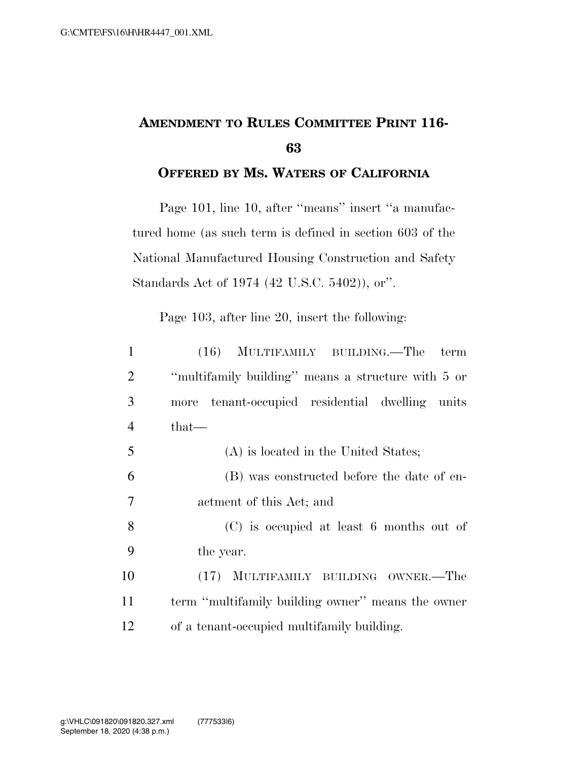## **AMENDMENT TO RULES COMMITTEE PRINT 116- 63**

## **OFFERED BY MS. WATERS OF CALIFORNIA**

Page 101, line 10, after ''means'' insert ''a manufactured home (as such term is defined in section 603 of the National Manufactured Housing Construction and Safety Standards Act of 1974 (42 U.S.C. 5402)), or''.

Page 103, after line 20, insert the following:

| $\mathbf{1}$   | (16) MULTIFAMILY BUILDING.—The<br>term             |
|----------------|----------------------------------------------------|
| 2              | "multifamily building" means a structure with 5 or |
| 3              | tenant-occupied residential dwelling units<br>more |
| $\overline{4}$ | that—                                              |
| 5              | (A) is located in the United States;               |
| 6              | (B) was constructed before the date of en-         |
| 7              | actment of this Act; and                           |
| 8              | (C) is occupied at least 6 months out of           |
| 9              | the year.                                          |
| 10             | (17) MULTIFAMILY BUILDING OWNER.—The               |
| 11             | term "multifamily building owner" means the owner  |
| 12             | of a tenant-occupied multifamily building.         |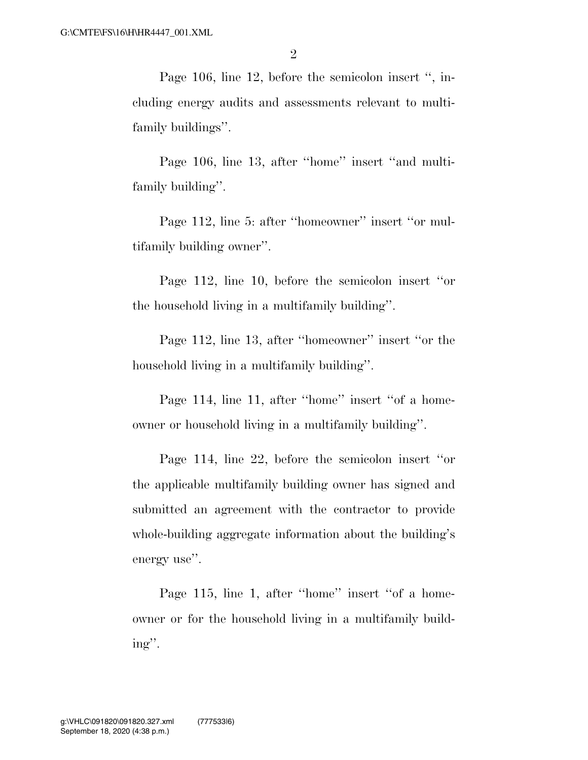Page 106, line 12, before the semicolon insert '', including energy audits and assessments relevant to multifamily buildings''.

Page 106, line 13, after ''home'' insert ''and multifamily building''.

Page 112, line 5: after ''homeowner'' insert ''or multifamily building owner''.

Page 112, line 10, before the semicolon insert ''or the household living in a multifamily building''.

Page 112, line 13, after ''homeowner'' insert ''or the household living in a multifamily building''.

Page 114, line 11, after ''home'' insert ''of a homeowner or household living in a multifamily building''.

Page 114, line 22, before the semicolon insert ''or the applicable multifamily building owner has signed and submitted an agreement with the contractor to provide whole-building aggregate information about the building's energy use''.

Page 115, line 1, after ''home'' insert ''of a homeowner or for the household living in a multifamily building''.